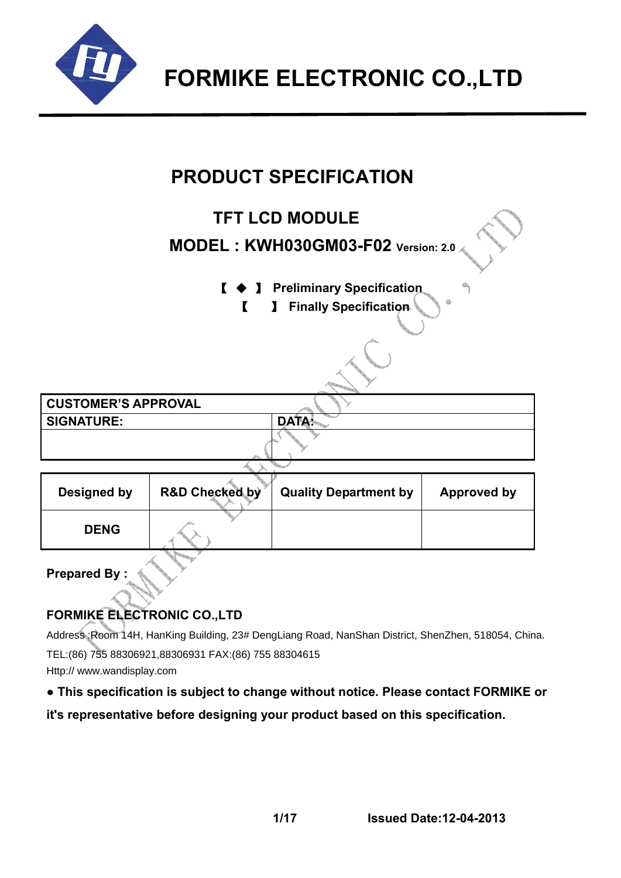

# **PRODUCT SPECIFICATION**

# **TFT LCD MODULE**

# **MODEL : KWH030GM03-F02 Version: 2.0**

- 【 ◆ 】 **Preliminary Specification** 
	- 【 】 **Finally Specification**

**CUSTOMER'S APPROVAL**  SIGNATURE: DATA:

| <b>Designed by</b> | <b>R&amp;D Checked by</b> | <b>Quality Department by</b> | <b>Approved by</b> |  |  |  |  |  |
|--------------------|---------------------------|------------------------------|--------------------|--|--|--|--|--|
| <b>DENG</b>        |                           |                              |                    |  |  |  |  |  |
|                    |                           |                              |                    |  |  |  |  |  |

**Prepared By :** 

## **FORMIKE ELECTRONIC CO.,LTD**

Address :Room 14H, HanKing Building, 23# DengLiang Road, NanShan District, ShenZhen, 518054, China. TEL:(86) 755 88306921,88306931 FAX:(86) 755 88304615 Http:// www.wandisplay.com

## **● This specification is subject to change without notice. Please contact FORMIKE or**

**it's representative before designing your product based on this specification.**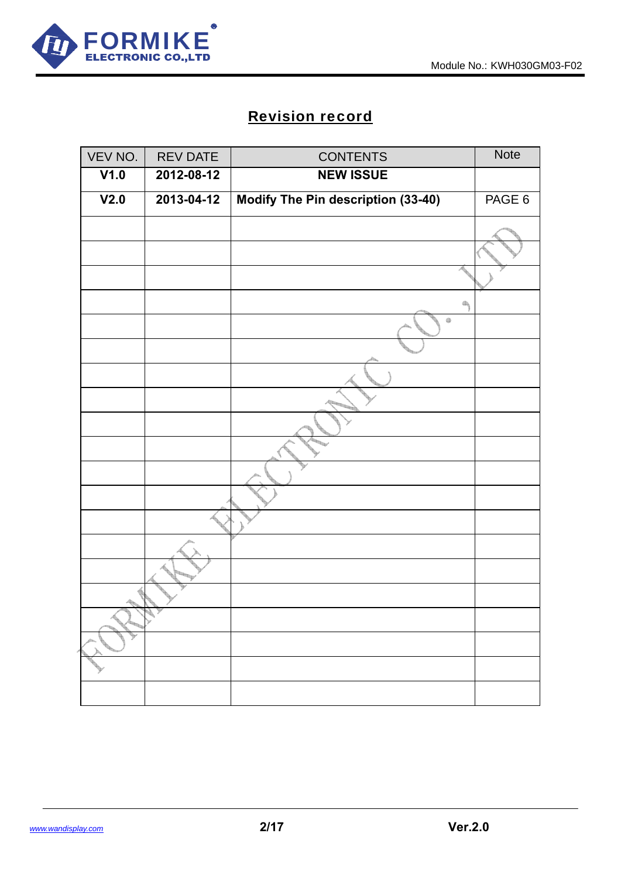

# Revision record

| VEV NO. | <b>REV DATE</b> | <b>CONTENTS</b>                    | Note   |
|---------|-----------------|------------------------------------|--------|
| V1.0    | 2012-08-12      | <b>NEW ISSUE</b>                   |        |
| V2.0    | 2013-04-12      | Modify The Pin description (33-40) | PAGE 6 |
|         |                 |                                    |        |
|         |                 |                                    |        |
|         |                 |                                    |        |
|         |                 | 4                                  |        |
|         |                 | $\qquad \qquad \oplus$             |        |
|         |                 |                                    |        |
|         |                 |                                    |        |
|         |                 |                                    |        |
|         |                 |                                    |        |
|         |                 |                                    |        |
|         |                 |                                    |        |
|         |                 |                                    |        |
|         |                 |                                    |        |
|         |                 |                                    |        |
|         |                 |                                    |        |
|         |                 |                                    |        |
|         |                 |                                    |        |
|         |                 |                                    |        |
|         |                 |                                    |        |
|         |                 |                                    |        |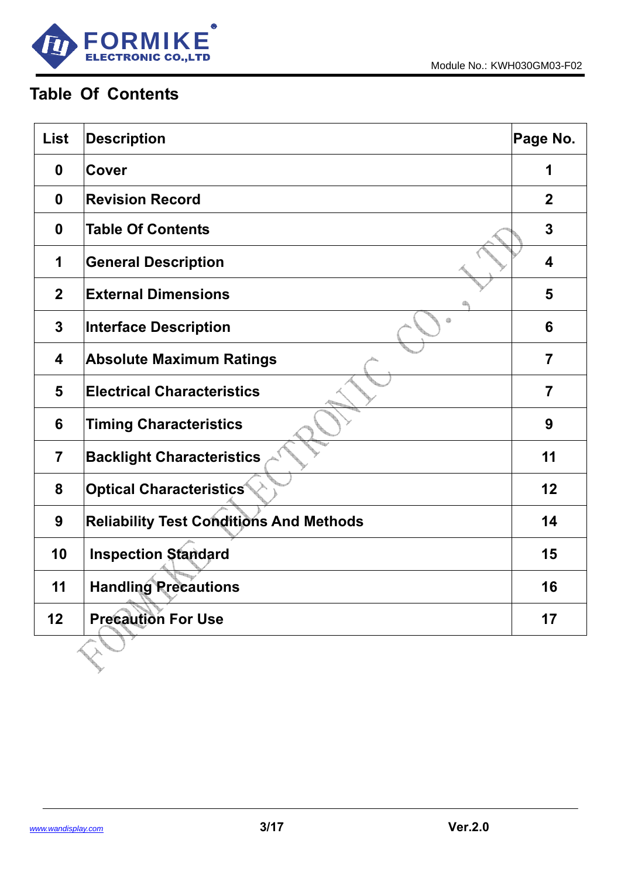

# **Table Of Contents**

| <b>List</b>             | <b>Description</b>                             | Page No.                |
|-------------------------|------------------------------------------------|-------------------------|
| $\boldsymbol{0}$        | <b>Cover</b>                                   | 1                       |
| 0                       | <b>Revision Record</b>                         | $\overline{2}$          |
| $\mathbf 0$             | <b>Table Of Contents</b>                       | $\overline{3}$          |
| 1                       | <b>General Description</b>                     | $\overline{\mathbf{4}}$ |
| $\overline{2}$          | <b>External Dimensions</b>                     | 5                       |
| $\overline{3}$          | a<br><b>Interface Description</b>              | 6                       |
| $\overline{\mathbf{4}}$ | <b>Absolute Maximum Ratings</b>                | $\overline{7}$          |
| 5                       | <b>Electrical Characteristics</b>              | $\overline{7}$          |
| 6                       | <b>Timing Characteristics</b>                  | 9                       |
| $\overline{7}$          | <b>Backlight Characteristics</b>               | 11                      |
| 8                       | <b>Optical Characteristics</b>                 | 12                      |
| 9                       | <b>Reliability Test Conditions And Methods</b> | 14                      |
| 10                      | <b>Inspection Standard</b>                     | 15                      |
| 11                      | <b>Handling Precautions</b>                    | 16                      |
| 12                      | <b>Precaution For Use</b>                      | 17                      |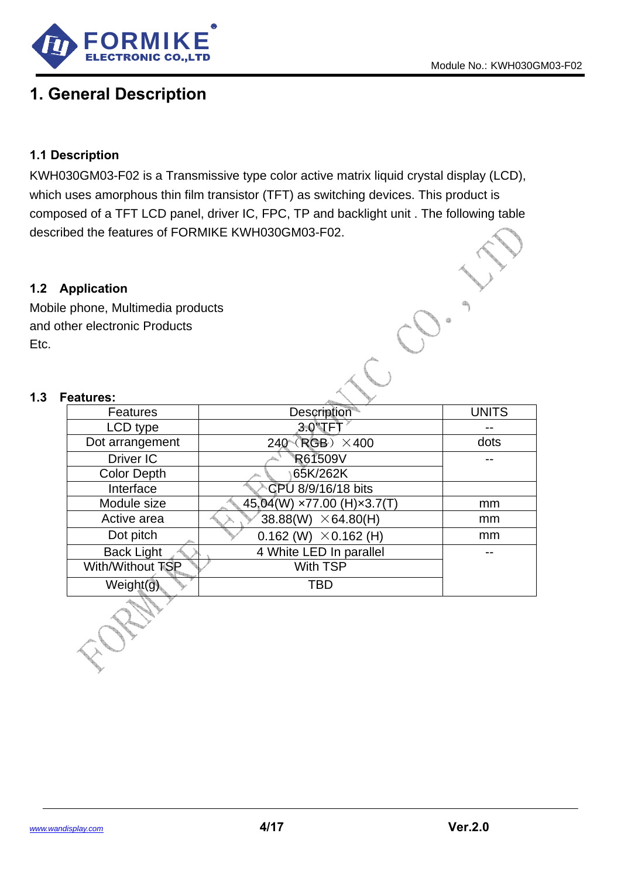

# **1. General Description**

### **1.1 Description**

KWH030GM03-F02 is a Transmissive type color active matrix liquid crystal display (LCD), which uses amorphous thin film transistor (TFT) as switching devices. This product is composed of a TFT LCD panel, driver IC, FPC, TP and backlight unit . The following table described the features of FORMIKE KWH030GM03-F02.

#### **1.2 Application**

Mobile phone, Multimedia products and other electronic Products Etc.

H. H.

#### **1.3 Features:**

| <b>pplication</b>          |                                 |              |
|----------------------------|---------------------------------|--------------|
| phone, Multimedia products |                                 |              |
| her electronic Products    |                                 |              |
| eatures:                   |                                 |              |
| <b>Features</b>            | Description                     | <b>UNITS</b> |
| LCD type                   | $3.0$ " $\sqrt{ }$ FT           |              |
| Dot arrangement            | $240 \left($ RGB $\right)$ ×400 | dots         |
| Driver IC                  | R61509V                         |              |
| <b>Color Depth</b>         | 65K/262K                        |              |
| Interface                  | CPU 8/9/16/18 bits              |              |
| Module size                | 45,04(W) ×77.00 (H)×3.7(T)      | mm           |
| Active area                | 38.88(W) $\times$ 64.80(H)      | mm           |
| Dot pitch                  | 0.162 (W) $\times$ 0.162 (H)    | mm           |
| <b>Back Light</b>          | 4 White LED In parallel         |              |
| With/Without TSP           | <b>With TSP</b>                 |              |
| Weight(g)                  | <b>TBD</b>                      |              |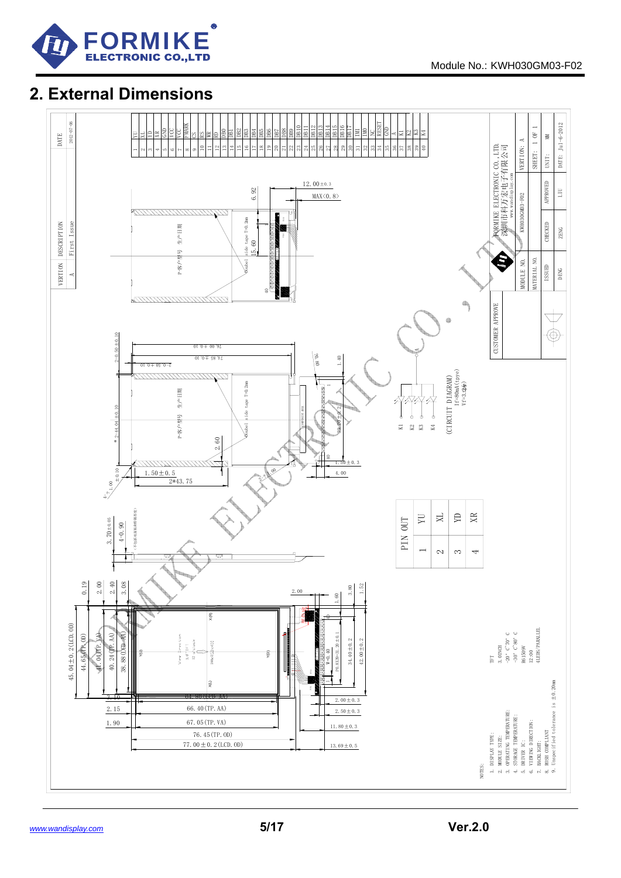

# **2. External Dimensions**

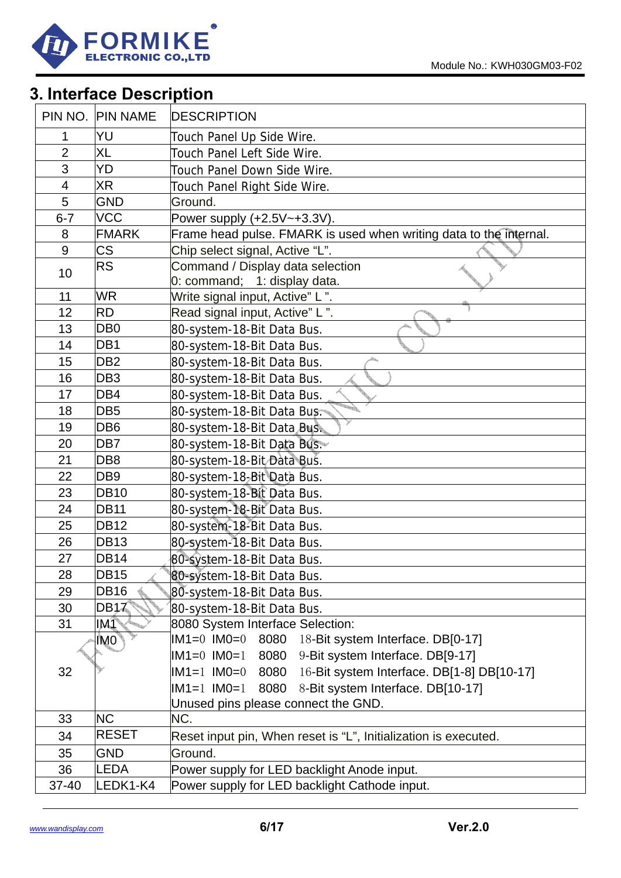

# **3. Interface Description**

|                          | PIN NO. PIN NAME | <b>DESCRIPTION</b>                                                    |
|--------------------------|------------------|-----------------------------------------------------------------------|
| 1                        | YU               | Touch Panel Up Side Wire.                                             |
| $\overline{2}$           | <b>XL</b>        | Touch Panel Left Side Wire.                                           |
| 3                        | YD               | Touch Panel Down Side Wire.                                           |
| $\overline{\mathcal{A}}$ | <b>XR</b>        | Touch Panel Right Side Wire.                                          |
| 5                        | <b>GND</b>       | Ground.                                                               |
| $6 - 7$                  | <b>VCC</b>       | Power supply (+2.5V~+3.3V).                                           |
| 8                        | <b>FMARK</b>     | Frame head pulse. FMARK is used when writing data to the internal.    |
| 9                        | <b>CS</b>        | Chip select signal, Active "L".                                       |
| 10                       | <b>RS</b>        | Command / Display data selection<br>0: command; 1: display data.      |
| 11                       | <b>WR</b>        | Write signal input, Active" L".                                       |
| 12                       | <b>RD</b>        | Read signal input, Active" L".                                        |
| 13                       | DB <sub>0</sub>  | 80-system-18-Bit Data Bus.                                            |
| 14                       | DB1              | 80-system-18-Bit Data Bus.                                            |
| 15                       | DB <sub>2</sub>  | 80-system-18-Bit Data Bus.                                            |
| 16                       | DB <sub>3</sub>  | 80-system-18-Bit Data Bus.                                            |
| 17                       | DB4              | 80-system-18-Bit Data Bus.                                            |
| 18                       | DB <sub>5</sub>  | 80-system-18-Bit Data Bus:                                            |
| 19                       | DB <sub>6</sub>  | 80-system-18-Bit Data Bus.                                            |
| 20                       | DB7              | 80-system-18-Bit Data Bus.                                            |
| 21                       | DB <sub>8</sub>  | 80-system-18-Bit Data Bus.                                            |
| 22                       | DB <sub>9</sub>  | 80-system-18-Bit Data Bus.                                            |
| 23                       | <b>DB10</b>      | 80-system-18-Bit Data Bus.                                            |
| 24                       | DB11             | 80-system-18-Bit Data Bus.                                            |
| 25                       | <b>DB12</b>      | 80-system-18-Bit Data Bus.                                            |
| 26                       | DB <sub>13</sub> | 80-system-18-Bit Data Bus.                                            |
| 27                       | <b>DB14</b>      | 80-system-18-Bit Data Bus.                                            |
| 28                       | DB <sub>15</sub> | 80-system-18-Bit Data Bus.                                            |
| 29                       | <b>DB16</b>      | 80-system-18-Bit Data Bus.                                            |
| 30                       | DB17             | 80-system-18-Bit Data Bus.                                            |
| 31                       | IM <sub>1</sub>  | 8080 System Interface Selection:                                      |
|                          | IMO <sup>®</sup> | $IM1=0$ $IM0=0$<br>8080<br>18-Bit system Interface. DB[0-17]          |
|                          |                  | $IM1=0$ $IM0=1$<br>8080<br>9-Bit system Interface. DB[9-17]           |
| 32                       |                  | 16-Bit system Interface. DB[1-8] DB[10-17]<br>$IM1=1$ $IM0=0$<br>8080 |
|                          |                  | 8-Bit system Interface. DB[10-17]<br>$IM1 = 1$ $IM0 = 1$<br>8080      |
|                          |                  | Unused pins please connect the GND.                                   |
| 33                       | <b>NC</b>        | NC.                                                                   |
| 34                       | <b>RESET</b>     | Reset input pin, When reset is "L", Initialization is executed.       |
| 35                       | <b>GND</b>       | Ground.                                                               |
| 36                       | LEDA             | Power supply for LED backlight Anode input.                           |
| 37-40                    | LEDK1-K4         | Power supply for LED backlight Cathode input.                         |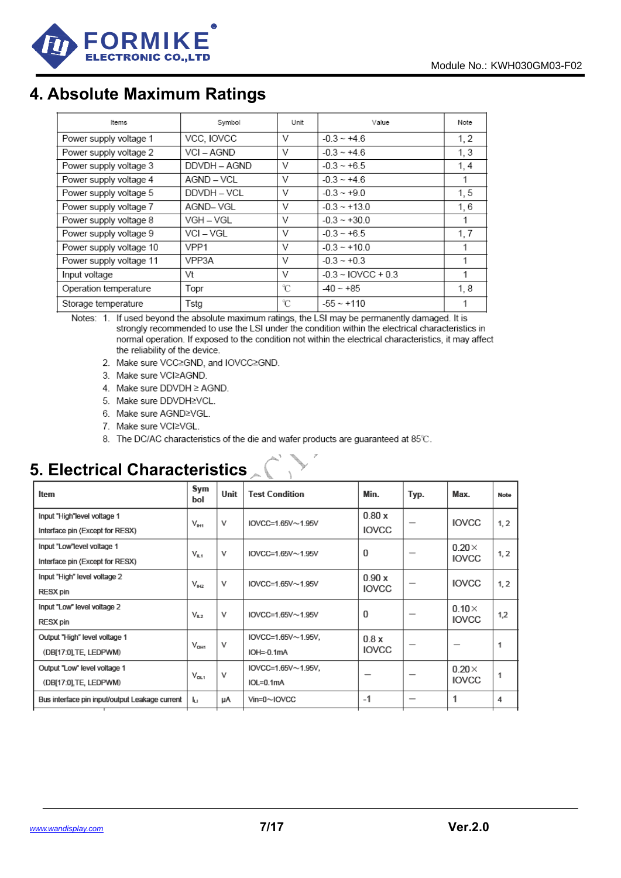

# **4. Absolute Maximum Ratings**

| Items                   | Symbol       | Unit | Value                 | Note |
|-------------------------|--------------|------|-----------------------|------|
| Power supply voltage 1  | VCC, IOVCC   | v    | $-0.3 - +4.6$         | 1, 2 |
| Power supply voltage 2  | VCI-AGND     | V    | $-0.3 - +4.6$         | 1, 3 |
| Power supply voltage 3  | DDVDH - AGND | V    | $-0.3 - +6.5$         | 1, 4 |
| Power supply voltage 4  | AGND - VCL   | V    | $-0.3 - +4.6$         |      |
| Power supply voltage 5  | DDVDH - VCL  | v    | $-0.3 - +9.0$         | 1, 5 |
| Power supply voltage 7  | AGND-VGL     | V    | $-0.3 - +13.0$        | 1,6  |
| Power supply voltage 8  | VGH – VGL    | V    | $-0.3 - +30.0$        | 1    |
| Power supply voltage 9  | VCI – VGL    | V    | $-0.3 - +6.5$         | 1, 7 |
| Power supply voltage 10 | VPP1         | V    | $-0.3 - +10.0$        |      |
| Power supply voltage 11 | VPP3A        | V    | $-0.3 - +0.3$         |      |
| Input voltage           | Vt           | V    | $-0.3 - 10$ VCC + 0.3 | 1    |
| Operation temperature   | Topr         | °C   | $-40 - +85$           | 1,8  |
| Storage temperature     | Tstg         | °C   | $-55 \sim +110$       |      |

Notes: 1. If used beyond the absolute maximum ratings, the LSI may be permanently damaged. It is strongly recommended to use the LSI under the condition within the electrical characteristics in normal operation. If exposed to the condition not within the electrical characteristics, it may affect the reliability of the device.

- 2. Make sure VCC≥GND, and IOVCC≥GND.
- 3. Make sure VCI≥AGND.
- 4. Make sure DDVDH ≥ AGND.
- 5. Make sure DDVDH≥VCL.
- 6. Make sure AGND≥VGL.
- 7. Make sure VCI≥VGL.
- 8. The DC/AC characteristics of the die and wafer products are guaranteed at 85°C.

# **5. Electrical Characteristics**

| Item                                                           | Sym<br>bol       | Unit | <b>Test Condition</b>                      | Min.                  | Typ.                     | Max.                         | Note |
|----------------------------------------------------------------|------------------|------|--------------------------------------------|-----------------------|--------------------------|------------------------------|------|
| Input "High"level voltage 1<br>Interface pin (Except for RESX) | $V_{\text{BH}}$  | V    | IOVCC=1.65V $\sim$ 1.95V                   | 0.80x<br><b>IOVCC</b> |                          | <b>IOVCC</b>                 | 1, 2 |
| Input "Low" level voltage 1<br>Interface pin (Except for RESX) | $V_{n,1}$        | v    | IOVCC=1.65V $\sim$ 1.95V                   | $\mathbf{0}$          | –                        | $0.20\times$<br><b>IOVCC</b> | 1, 2 |
| Input "High" level voltage 2<br><b>RESX pin</b>                | $V_{\text{H2}}$  | v    | IOVCC=1.65V $\sim$ 1.95V                   | 0.90x<br><b>IOVCC</b> |                          | <b>IOVCC</b>                 | 1, 2 |
| Input "Low" level voltage 2<br><b>RESX pin</b>                 | $V_{12}$         | v    | IOVCC=1.65V $\sim$ 1.95V                   | $\mathbf{0}$          |                          | $0.10\times$<br><b>IOVCC</b> | 1,2  |
| Output "High" level voltage 1<br>(DB[17:0],TE, LEDPWM)         | $V_{\text{OH1}}$ | V    | $IOVCC=1.65V \sim 1.95V,$<br>$IOH = 0.1mA$ | 0.8x<br><b>IOVCC</b>  | $\overline{\phantom{0}}$ | $\overline{\phantom{0}}$     | 1    |
| Output "Low" level voltage 1<br>(DB[17:0],TE, LEDPWM)          | $V_{OL1}$        | V    | IOVCC=1.65V~1.95V,<br>$IOL=0.1mA$          |                       |                          | $0.20\times$<br><b>IOVCC</b> | 1    |
| Bus interface pin input/output Leakage current                 | h.               | uА   | $V$ in=0 $\sim$ IOVCC                      | $-1$                  |                          | 1                            | 4    |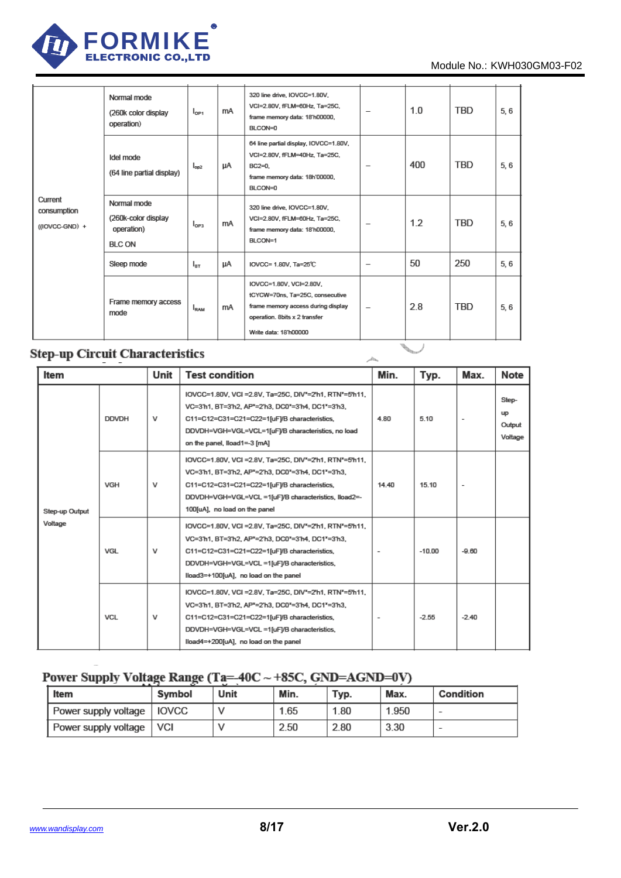

#### Module No.: KWH030GM03-F02

| Current<br>consumption<br>((IOVCC-GND) + | Normal mode<br>(260k color display<br>operation)                   | $I_{\text{OPT}}$ | mA | 320 line drive, IOVCC=1.80V,<br>VCI=2.80V, fFLM=60Hz, Ta=25C,<br>frame memory data: 18'h00000,<br>BLCON=0                                                  | $\qquad \qquad -$        | 1.0 | <b>TBD</b> | 5,6 |
|------------------------------------------|--------------------------------------------------------------------|------------------|----|------------------------------------------------------------------------------------------------------------------------------------------------------------|--------------------------|-----|------------|-----|
|                                          | Idel mode<br>(64 line partial display)                             | $I_{op2}$        | μA | 64 line partial display, IOVCC=1.80V,<br>VCI=2.80V, fFLM=40Hz, Ta=25C,<br>$BC2=0.$<br>frame memory data: 18h'00000,<br>BLCON=0                             | $\qquad \qquad -$        | 400 | <b>TBD</b> | 5,6 |
|                                          | Normal mode<br>(260k-color display)<br>operation)<br><b>BLC ON</b> | $I_{OP3}$        | mA | 320 line drive, IOVCC=1.80V,<br>VCI=2.80V, fFLM=60Hz, Ta=25C,<br>frame memory data: 18'h00000,<br>BLCON=1                                                  | $\overline{\phantom{0}}$ | 1.2 | <b>TBD</b> | 5,6 |
|                                          | Sleep mode                                                         | $I_{\rm{RT}}$    | uА | IOVCC= 1.80V, Ta=25°C                                                                                                                                      |                          | 50  | 250        | 5,6 |
|                                          | Frame memory access<br>mode                                        | <b>L</b> RAM     | mA | IOVCC=1.80V, VCI=2.80V,<br>tCYCW=70ns, Ta=25C, consecutive<br>frame memory access during display<br>operation. 8bits x 2 transfer<br>Write data: 18'h00000 | $\overline{\phantom{0}}$ | 2.8 | <b>TBD</b> | 5,6 |

## **Step-up Circuit Characteristics**

| Item                      |              | Unit | <b>Test condition</b>                                                                                                                                                                                                                                  | Min.  | Typ.     | Max.    | Note                                    |
|---------------------------|--------------|------|--------------------------------------------------------------------------------------------------------------------------------------------------------------------------------------------------------------------------------------------------------|-------|----------|---------|-----------------------------------------|
|                           | <b>DDVDH</b> | v    | IOVCC=1.80V, VCI = 2.8V, Ta=25C, DIV"=2'h1, RTN"=5'h11,<br>VC=3'h1, BT=3'h2, AP*=2'h3, DC0*=3'h4, DC1*=3'h3,<br>C11=C12=C31=C21=C22=1[uF]/B characteristics,<br>DDVDH=VGH=VGL=VCL=1[uFJ/B characteristics, no load<br>on the panel, lload1=-3 [mA]     | 4.80  | 5.10     |         | Step-<br><b>up</b><br>Output<br>Voltage |
| Step-up Output<br>Voltage | <b>VGH</b>   | v    | IOVCC=1.80V, VCI = 2.8V, Ta=25C, DIV"=2'h1, RTN"=5'h11,<br>VC=3'h1, BT=3'h2, AP*=2'h3, DC0*=3'h4, DC1*=3'h3,<br>C11=C12=C31=C21=C22=1[uF]/B characteristics,<br>DDVDH=VGH=VGL=VCL =1[uF]/B characteristics, lload2 =-<br>100[uA], no load on the panel | 14.40 | 15.10    |         |                                         |
|                           | VGL          | v    | IOVCC=1.80V, VCI = 2.8V, Ta=25C, DIV"=2'h1, RTN"=5'h11,<br>VC=3'h1, BT=3'h2, AP*=2'h3, DC0*=3'h4, DC1*=3'h3,<br>C11=C12=C31=C21=C22=1[uF]/B characteristics,<br>DDVDH=VGH=VGL=VCL =1[uF]/B characteristics,<br>lload3=+100[uA], no load on the panel   |       | $-10.00$ | $-9.60$ |                                         |
|                           | <b>VCL</b>   | v    | IOVCC=1.80V, VCI = 2.8V, Ta=25C, DIV"=2'h1, RTN"=5'h11,<br>VC=3'h1, BT=3'h2, AP*=2'h3, DC0*=3'h4, DC1*=3'h3,<br>C11=C12=C31=C21=C22=1[uF]/B characteristics,<br>DDVDH=VGH=VGL=VCL =1[uFJ/B characteristics,<br>lload4=+200[uA], no load on the panel   |       | $-2.55$  | $-2.40$ |                                         |

## Power Supply Voltage Range (Ta=-40C ~ +85C, GND=AGND=0V)

| Item                           | Symbol | Unit | Min. | Typ. | Max.  | Condition |
|--------------------------------|--------|------|------|------|-------|-----------|
| I Power supply voltage   IOVCC |        |      | 1.65 | 1.80 | 1.950 |           |
| Power supply voltage           | VCI    |      | 2.50 | 2.80 | 3.30  | $\sim$    |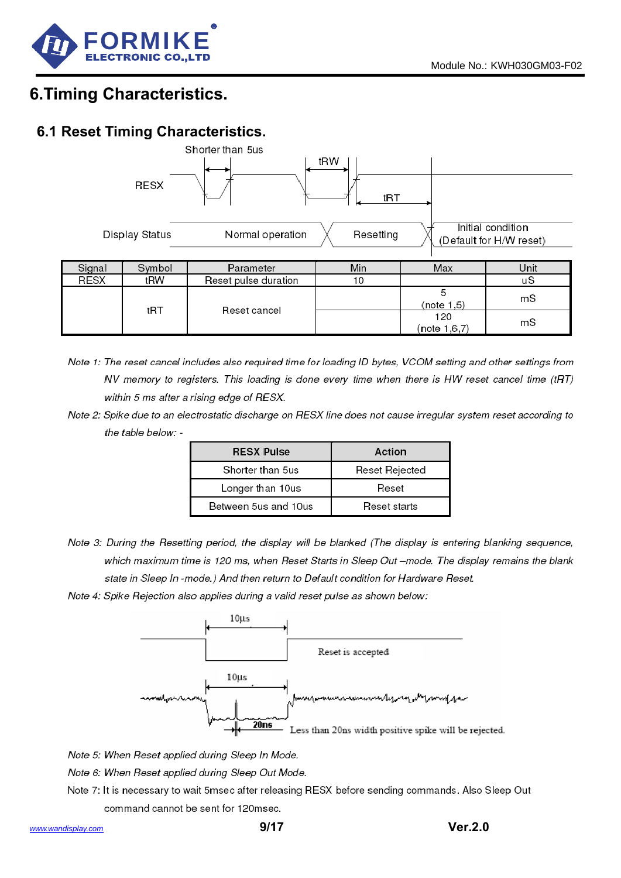

# **6.Timing Characteristics.**

## **6.1 Reset Timing Characteristics.**



- Note 1: The reset cancel includes also required time for loading ID bytes. VCOM setting and other settings from NV memory to registers. This loading is done every time when there is HW reset cancel time (tRT) within 5 ms after a rising edge of RESX.
- Note 2: Spike due to an electrostatic discharge on RESX line does not cause irregular system reset according to the table below: -

| <b>RESX Pulse</b>    | Action         |  |  |  |
|----------------------|----------------|--|--|--|
| Shorter than 5us     | Reset Rejected |  |  |  |
| Longer than 10us     | Reset          |  |  |  |
| Between 5us and 10us | Reset starts   |  |  |  |

Note 3: During the Resetting period, the display will be blanked (The display is entering blanking sequence, which maximum time is 120 ms, when Reset Starts in Sleep Out -mode. The display remains the blank state in Sleep In-mode.) And then return to Default condition for Hardware Reset.

Note 4: Spike Rejection also applies during a valid reset pulse as shown below:



Note 5: When Reset applied during Sleep In Mode.

Note 6: When Reset applied during Sleep Out Mode.

Note 7: It is necessary to wait 5msec after releasing RESX before sending commands. Also Sleep Out command cannot be sent for 120msec.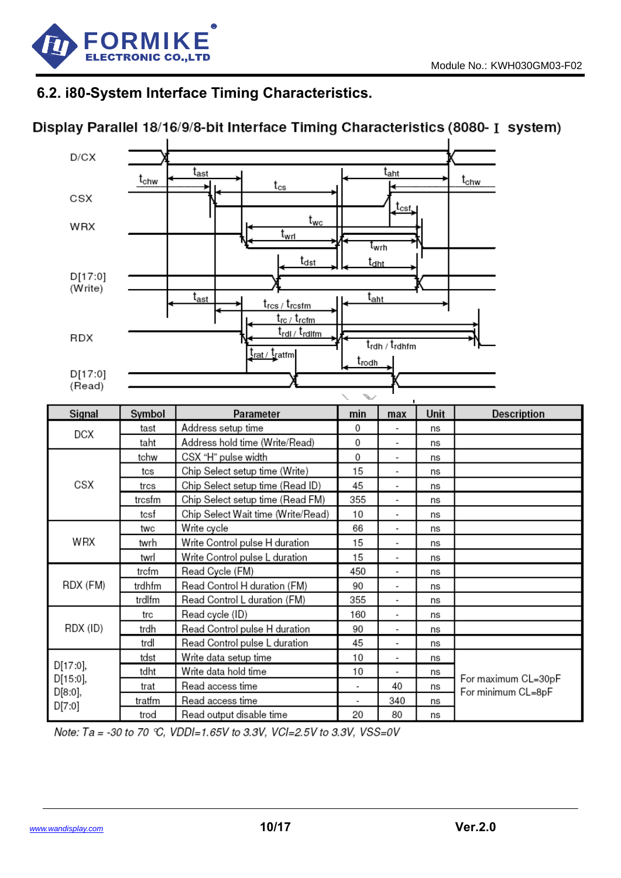

## **6.2. i80-System Interface Timing Characteristics.**

## Display Parallel 18/16/9/8-bit Interface Timing Characteristics (8080- I system)



| Signal              | Symbol | Parameter                          | min                      | max                      | Unit | <b>Description</b>                        |
|---------------------|--------|------------------------------------|--------------------------|--------------------------|------|-------------------------------------------|
| DCX                 | tast   | Address setup time                 | 0                        |                          | ns   |                                           |
|                     | taht   | Address hold time (Write/Read)     | 0                        | $\overline{\phantom{a}}$ | ns   |                                           |
|                     | tchw   | CSX "H" pulse width                | 0                        | $\blacksquare$           | ns   |                                           |
|                     | tcs    | Chip Select setup time (Write)     | 15                       | $\overline{\phantom{a}}$ | ns   |                                           |
| CSX                 | trcs   | Chip Select setup time (Read ID)   | 45                       | $\overline{\phantom{a}}$ | ns   |                                           |
|                     | trcsfm | Chip Select setup time (Read FM)   | 355                      | $\overline{\phantom{a}}$ | ns   |                                           |
|                     | tcsf   | Chip Select Wait time (Write/Read) | 10                       | $\overline{\phantom{a}}$ | ns   |                                           |
|                     | twc    | Write cycle                        | 66                       |                          | ns   |                                           |
| WRX                 | twrh   | Write Control pulse H duration     | 15                       | $\overline{\phantom{a}}$ | ns   |                                           |
|                     | twrl   | Write Control pulse L duration     | 15                       | $\overline{\phantom{a}}$ | ns   |                                           |
|                     | trcfm  | Read Cycle (FM)                    | 450                      | $\overline{\phantom{a}}$ | ns   |                                           |
| RDX (FM)            | trdhfm | Read Control H duration (FM)       | 90                       | $\overline{\phantom{a}}$ | ns   |                                           |
|                     | trdlfm | Read Control L duration (FM)       | 355                      | $\overline{\phantom{a}}$ | ns   |                                           |
|                     | trc    | Read cycle (ID)                    | 160                      | $\overline{\phantom{a}}$ | ns   |                                           |
| RDX (ID)            | trdh   | Read Control pulse H duration      | 90                       | $\overline{\phantom{a}}$ | ns   |                                           |
|                     | trdl   | Read Control pulse L duration      | 45                       | $\overline{\phantom{a}}$ | ns   |                                           |
|                     | tdst   | Write data setup time              | 10                       | $\overline{\phantom{a}}$ | ns   |                                           |
| D[17:0],            | tdht   | Write data hold time               | 10                       |                          | ns   |                                           |
| D[15:0],<br>D[8:0], | trat   | Read access time                   |                          | 40                       | ns   | For maximum CL=30pF<br>For minimum CL=8pF |
|                     | tratfm | Read access time                   | $\overline{\phantom{a}}$ | 340                      | ns   |                                           |
| D[7:0]              | trod   | Read output disable time           | 20                       | 80                       | ns   |                                           |

Note: Ta = -30 to 70 °C, VDDI=1.65V to 3.3V, VCI=2.5V to 3.3V, VSS=0V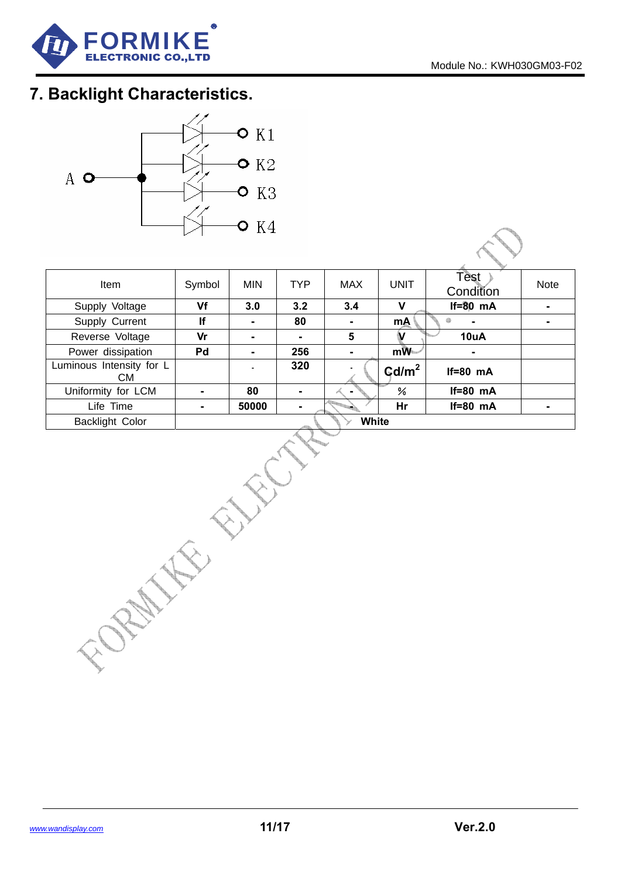

# **7. Backlight Characteristics.**



| Item                            | Symbol | <b>MIN</b> | <b>TYP</b> | MAX            | <b>UNIT</b>                 | Test<br>Condition | <b>Note</b> |
|---------------------------------|--------|------------|------------|----------------|-----------------------------|-------------------|-------------|
| Supply Voltage                  | Vf     | 3.0        | 3.2        | 3.4            | v                           | $If=80$ mA        |             |
| Supply Current                  | If     | ۰          | 80         | $\blacksquare$ | mA                          | $\blacksquare$    |             |
| Reverse Voltage                 | Vr     | ۰          |            | 5              | ν                           | 10uA              |             |
| Power dissipation               | Pd     |            | 256        |                | mW                          | $\blacksquare$    |             |
| Luminous Intensity for L<br>CM. |        |            | 320        |                | $\text{G}$ d/m <sup>2</sup> | $If=80$ mA        |             |
| Uniformity for LCM              | -      | 80         |            |                | ℅                           | $If=80$ mA        |             |
| Life Time                       |        | 50000      |            |                | Hr                          | $If=80$ mA        |             |
| <b>Backlight Color</b>          |        |            |            | <b>White</b>   |                             |                   |             |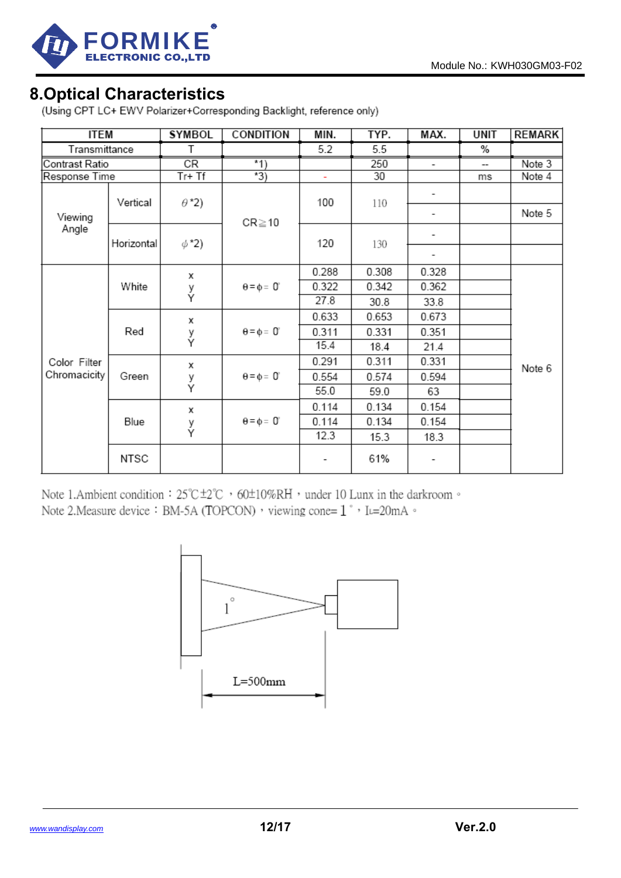

8. Optical Characteristics<br>(Using CPT LC+ EWV Polarizer+Corresponding Backlight, reference only)

| <b>ITEM</b>    |            | <b>SYMBOL</b>          | <b>CONDITION</b>    | MIN.  | TYP.  | MAX.  | <b>UNIT</b> | REMARK |
|----------------|------------|------------------------|---------------------|-------|-------|-------|-------------|--------|
| Transmittance  |            | Τ                      |                     | 5.2   | 5.5   |       | %           |        |
| Contrast Ratio |            | $\overline{\text{CR}}$ | $*1)$               |       | 250   | -     | --          | Note 3 |
| Response Time  |            | $Tr+Tf$                | $\overline{3)}$     | ÷.    | 30    |       | ms          | Note 4 |
|                | Vertical   | $\theta$ *2)           |                     | 100   | 110   | -     |             |        |
| Viewing        |            |                        | $CR \ge 10$         |       |       | ۰     |             | Note 5 |
| Angle          | Horizontal | $\phi$ *2)             |                     | 120   | 130   |       |             |        |
|                |            |                        |                     |       |       | -     |             |        |
|                |            | х                      |                     | 0.288 | 0.308 | 0.328 |             |        |
|                | White      | y<br>Y                 | $\theta = \phi = 0$ | 0.322 | 0.342 | 0.362 |             |        |
|                |            |                        |                     | 27.8  | 30.8  | 33.8  |             |        |
|                |            | х                      |                     | 0.633 | 0.653 | 0.673 |             |        |
|                | Red        | y<br>Y                 | $\theta = \phi = 0$ | 0.311 | 0.331 | 0.351 |             |        |
|                |            |                        |                     | 15.4  | 18.4  | 21.4  |             |        |
| Color Filter   |            | х                      |                     | 0.291 | 0.311 | 0.331 |             | Note 6 |
| Chromacicity   | Green      | y<br>Y                 | $\theta = \phi = 0$ | 0.554 | 0.574 | 0.594 |             |        |
|                |            |                        |                     | 55.0  | 59.0  | 63    |             |        |
|                |            | х                      |                     | 0.114 | 0.134 | 0.154 |             |        |
|                | Blue       | y<br>Y                 | $\theta = \phi = 0$ | 0.114 | 0.134 | 0.154 |             |        |
|                |            |                        |                     | 12.3  | 15.3  | 18.3  |             |        |
|                | NTSC       |                        |                     |       | 61%   |       |             |        |

Note 1.Ambient condition: 25°C ±2°C > 60±10%RH > under 10 Lunx in the darkroom  $\circ$ Note 2. Measure device: BM-5A (TOPCON) , viewing cone= 1°, IL=20mA 。

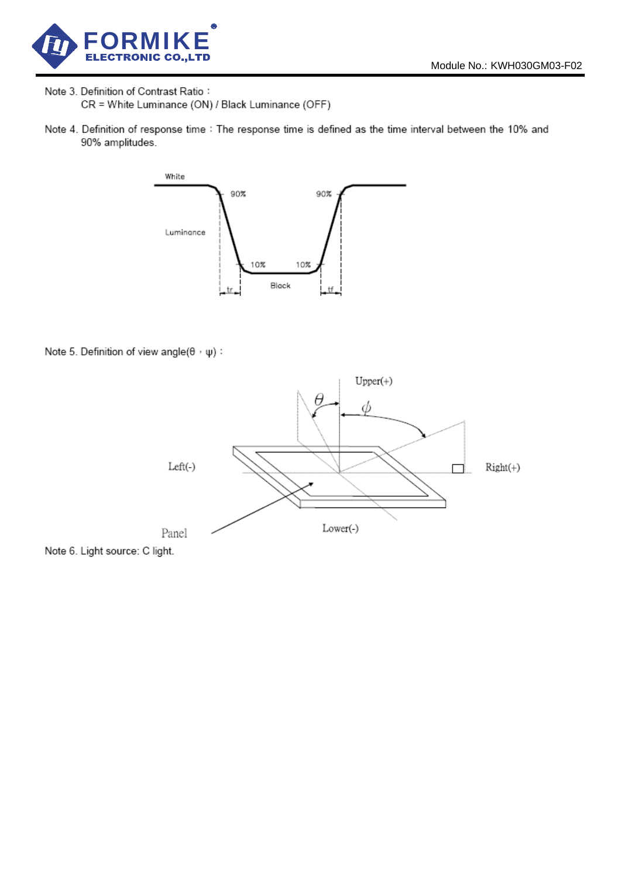

Note 3. Definition of Contrast Ratio: CR = White Luminance (ON) / Black Luminance (OFF)

Note 4. Definition of response time : The response time is defined as the time interval between the 10% and 90% amplitudes.



Note 5. Definition of view angle( $\theta$ ,  $\psi$ ) :



Note 6. Light source: C light.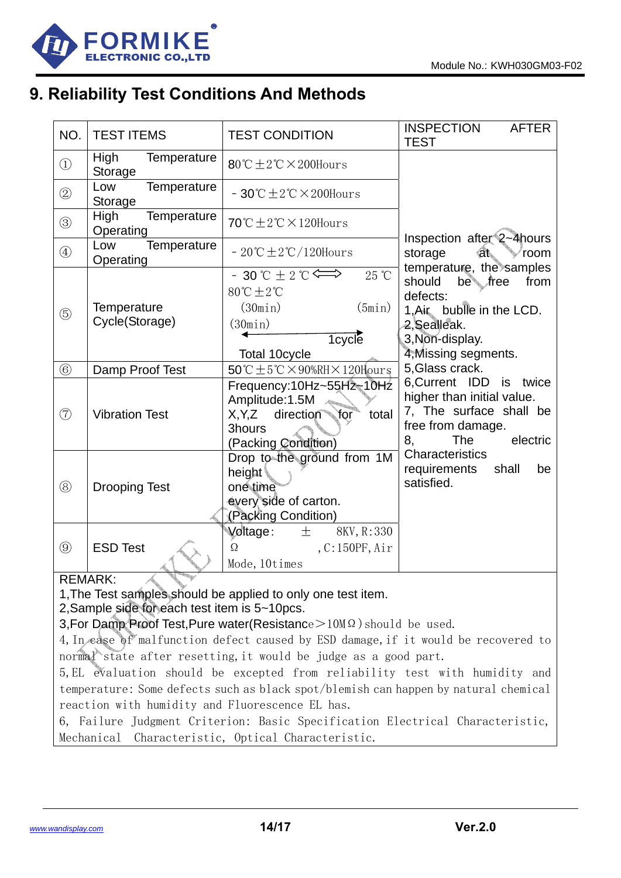

# **9. Reliability Test Conditions And Methods**

| NO.           | <b>TEST ITEMS</b>                | <b>TEST CONDITION</b>                                                                                                                                                     | <b>INSPECTION</b><br><b>AFTER</b><br><b>TEST</b>                                                                                      |
|---------------|----------------------------------|---------------------------------------------------------------------------------------------------------------------------------------------------------------------------|---------------------------------------------------------------------------------------------------------------------------------------|
| $\bigcirc$    | High<br>Temperature<br>Storage   | $80^{\circ}$ C $\pm$ 2 $^{\circ}$ C $\times$ 200Hours                                                                                                                     |                                                                                                                                       |
| $\circled{2}$ | Temperature<br>Low<br>Storage    | $-30^{\circ}$ C $\pm 2^{\circ}$ C $\times$ 200Hours                                                                                                                       |                                                                                                                                       |
| $\circledS$   | Temperature<br>High<br>Operating | 70°C $\pm$ 2°C $\times$ 120Hours                                                                                                                                          |                                                                                                                                       |
| $\circled{4}$ | Temperature<br>Low<br>Operating  | $-20^{\circ}\text{C} \pm 2^{\circ}\text{C}/120$ Hours                                                                                                                     | Inspection after 2~4 hours<br>⊲t⊾<br>storage<br>room<br>temperature, the samples                                                      |
| $\circledS$   | Temperature<br>Cycle(Storage)    | $-30$ °C $\pm$ 2 °C $\Longleftrightarrow$<br>$25 \text{ }^{\circ}\text{C}$<br>$80^{\circ}$ C $\pm 2^{\circ}$ C<br>(30min)<br>(5min)<br>(30min)<br>1cycle<br>Total 10cycle | should<br>be <i>free</i><br>from<br>defects:<br>1, Air buble in the LCD.<br>2, Sealleak.<br>3, Non-display.<br>4, Missing segments.   |
| $\circled{6}$ | Damp Proof Test                  | $50^{\circ}$ C $\pm$ 5 $^{\circ}$ C $\times$ 90%RH $\times$ 120Hours                                                                                                      | 5, Glass crack.                                                                                                                       |
| $\circled{7}$ | <b>Vibration Test</b>            | Frequency:10Hz~55Hz~10Hz<br>Amplitude:1.5M<br>direction<br>X, Y, Z<br>total<br>for<br>3hours<br>(Packing Condition)                                                       | 6, Current IDD is twice<br>higher than initial value.<br>7, The surface shall be<br>free from damage.<br>electric<br>8,<br><b>The</b> |
| $\circledR$   | <b>Drooping Test</b>             | Drop to the ground from 1M<br>height<br>one time<br>every side of carton.<br>(Packing Condition)                                                                          | Characteristics<br>requirements<br>shall<br>be<br>satisfied.                                                                          |
| $\circledS$   | <b>ESD Test</b>                  | Voltage:<br>8KV, R:330<br>土<br>$\Omega$<br>,C:150PF, Air<br>Mode, 10times                                                                                                 |                                                                                                                                       |

#### REMARK:

1,The Test samples should be applied to only one test item.

2,Sample side for each test item is 5~10pcs.

3, For Damp Proof Test, Pure water (Resistance > 10MΩ) should be used.

4,In case of malfunction defect caused by ESD damage,if it would be recovered to normal state after resetting, it would be judge as a good part.

5,EL evaluation should be excepted from reliability test with humidity and temperature: Some defects such as black spot/blemish can happen by natural chemical reaction with humidity and Fluorescence EL has.

6, Failure Judgment Criterion: Basic Specification Electrical Characteristic, Mechanical Characteristic, Optical Characteristic.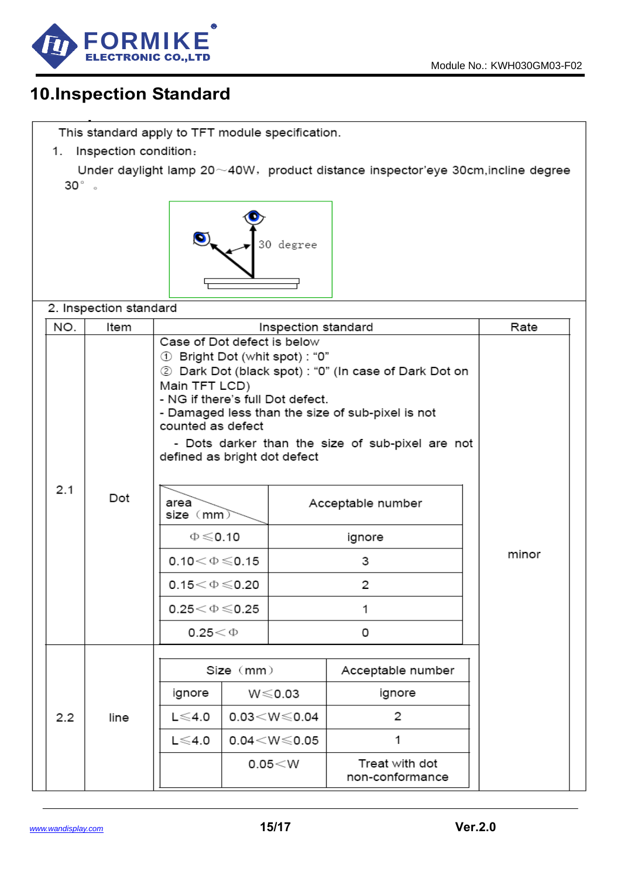

# **10.Inspection Standard**

This standard apply to TFT module specification.

1. Inspection condition:

Under daylight lamp 20~40W, product distance inspector'eye 30cm, incline degree  $30^{\circ}$  .



2. Inspection standard

| NO.         | Item                 |                                                                                                                                                                                                                                                                                                                                        | Inspection standard         | Rate   |                                   |  |
|-------------|----------------------|----------------------------------------------------------------------------------------------------------------------------------------------------------------------------------------------------------------------------------------------------------------------------------------------------------------------------------------|-----------------------------|--------|-----------------------------------|--|
|             |                      | Case of Dot defect is below<br>10": Bright Dot (whit spot):<br>2 Dark Dot (black spot) : "0" (In case of Dark Dot on<br>Main TFT LCD)<br>- NG if there's full Dot defect.<br>- Damaged less than the size of sub-pixel is not<br>counted as defect<br>- Dots darker than the size of sub-pixel are not<br>defined as bright dot defect |                             |        |                                   |  |
| 2.1<br>Dot  | area<br>size (mm)    |                                                                                                                                                                                                                                                                                                                                        | Acceptable number           |        |                                   |  |
|             | $\Phi \leq 0.10$     |                                                                                                                                                                                                                                                                                                                                        |                             | ignore |                                   |  |
|             | $0.10<\Phi\leq 0.15$ |                                                                                                                                                                                                                                                                                                                                        |                             | 3      | minor                             |  |
|             | $0.15<\Phi\leq 0.20$ |                                                                                                                                                                                                                                                                                                                                        | 2                           |        |                                   |  |
|             | $0.25<\Phi\leq 0.25$ |                                                                                                                                                                                                                                                                                                                                        |                             | 1      |                                   |  |
|             |                      | $0.25<\Phi$                                                                                                                                                                                                                                                                                                                            |                             |        | 0                                 |  |
|             |                      |                                                                                                                                                                                                                                                                                                                                        | Size (mm)                   |        | Acceptable number                 |  |
|             | ignore               | $W \le 0.03$                                                                                                                                                                                                                                                                                                                           |                             | ignore |                                   |  |
| 2.2<br>line |                      | $L \leqslant 4.0$                                                                                                                                                                                                                                                                                                                      | $0.03<\!\!\le\!\!\le\!0.04$ |        | 2                                 |  |
|             |                      | L $\leqslant$ 4.0                                                                                                                                                                                                                                                                                                                      | $0.04<$ W $\leqslant$ 0.05  |        | 1                                 |  |
|             |                      |                                                                                                                                                                                                                                                                                                                                        | 0.05 < W                    |        | Treat with dot<br>non-conformance |  |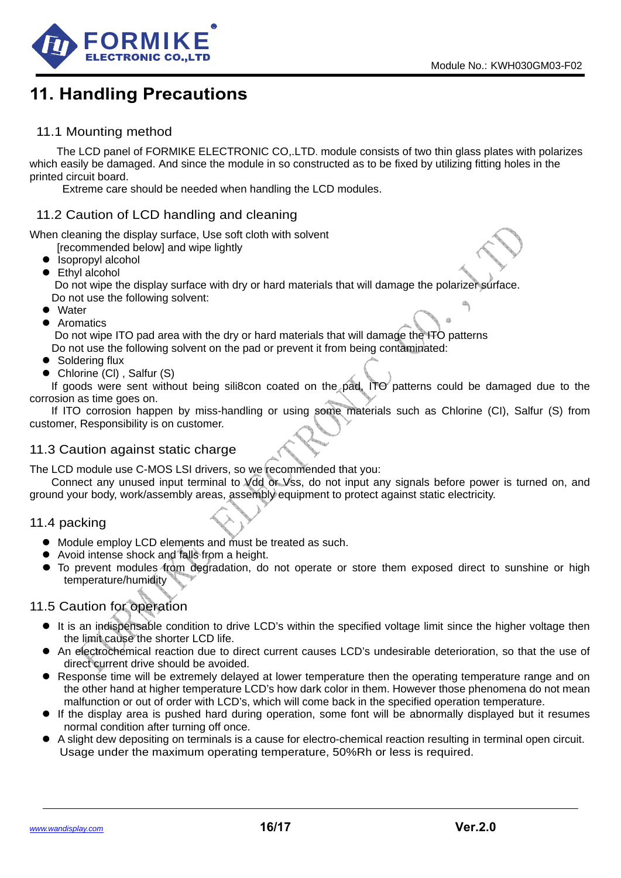d)



# **11. Handling Precautions**

#### 11.1 Mounting method

The LCD panel of FORMIKE ELECTRONIC CO,.LTD. module consists of two thin glass plates with polarizes which easily be damaged. And since the module in so constructed as to be fixed by utilizing fitting holes in the printed circuit board.

Extreme care should be needed when handling the LCD modules.

#### 11.2 Caution of LCD handling and cleaning

When cleaning the display surface, Use soft cloth with solvent

- Irecommended belowl and wipe lightly
- Isopropyl alcohol
- $\bullet$  Ethyl alcohol Do not wipe the display surface with dry or hard materials that will damage the polarizer surface.
- Do not use the following solvent: • Water
- 
- Aromatics

 Do not wipe ITO pad area with the dry or hard materials that will damage the ITO patterns Do not use the following solvent on the pad or prevent it from being contaminated:

- $\bullet$  Soldering flux
- Chlorine (CI), Salfur (S)

If goods were sent without being sili8con coated on the pad, ITO patterns could be damaged due to the corrosion as time goes on.

If ITO corrosion happen by miss-handling or using some materials such as Chlorine (CI), Salfur (S) from customer, Responsibility is on customer.

#### 11.3 Caution against static charge

The LCD module use C-MOS LSI drivers, so we recommended that you:

Connect any unused input terminal to Vdd or Vss, do not input any signals before power is turned on, and ground your body, work/assembly areas, assembly equipment to protect against static electricity.

#### 11.4 packing

- $\bullet$  Module employ LCD elements and must be treated as such.
- Avoid intense shock and falls from a height.
- To prevent modules from degradation, do not operate or store them exposed direct to sunshine or high temperature/humidity

#### 11.5 Caution for operation

- It is an indispensable condition to drive LCD's within the specified voltage limit since the higher voltage then the limit cause the shorter LCD life.
- An electrochemical reaction due to direct current causes LCD's undesirable deterioration, so that the use of direct current drive should be avoided.
- Response time will be extremely delayed at lower temperature then the operating temperature range and on the other hand at higher temperature LCD's how dark color in them. However those phenomena do not mean malfunction or out of order with LCD's, which will come back in the specified operation temperature.
- If the display area is pushed hard during operation, some font will be abnormally displayed but it resumes normal condition after turning off once.
- A slight dew depositing on terminals is a cause for electro-chemical reaction resulting in terminal open circuit. Usage under the maximum operating temperature, 50%Rh or less is required.